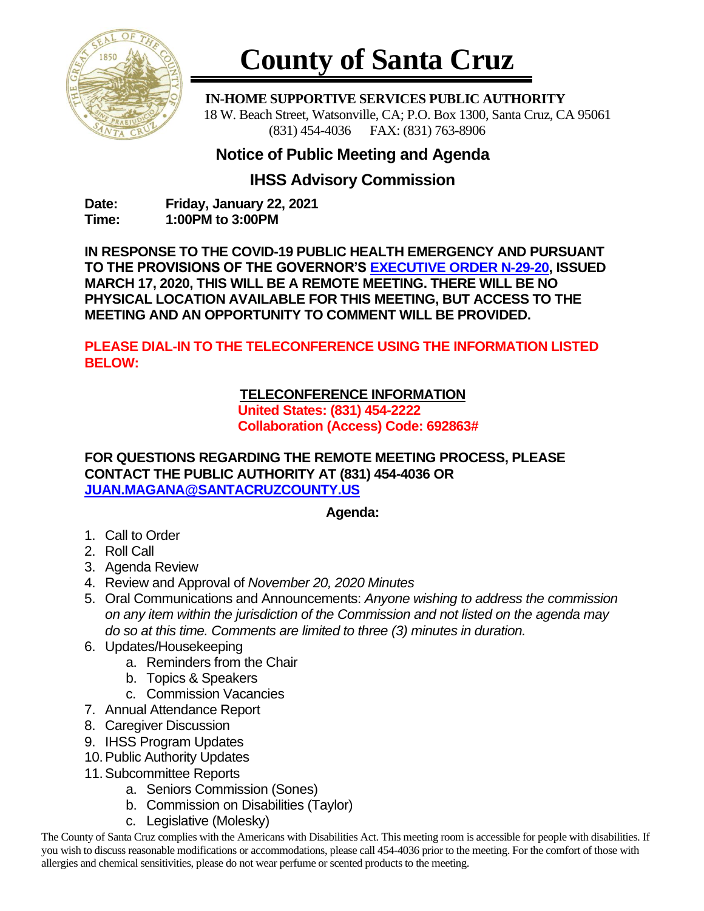

# **County of Santa Cruz**

 **IN-HOME SUPPORTIVE SERVICES PUBLIC AUTHORITY** 18 W. Beach Street, Watsonville, CA; P.O. Box 1300, Santa Cruz, CA 95061 (831) 454-4036 FAX: (831) 763-8906

## **Notice of Public Meeting and Agenda**

### **IHSS Advisory Commission**

**Date: Friday, January 22, 2021 Time: 1:00PM to 3:00PM**

**IN RESPONSE TO THE COVID-19 PUBLIC HEALTH EMERGENCY AND PURSUANT TO THE PROVISIONS OF THE GOVERNOR'S [EXECUTIVE ORDER N-29-20,](https://www.gov.ca.gov/wp-content/uploads/2020/03/3.17.20-N-29-20-EO.pdf) ISSUED MARCH 17, 2020, THIS WILL BE A REMOTE MEETING. THERE WILL BE NO PHYSICAL LOCATION AVAILABLE FOR THIS MEETING, BUT ACCESS TO THE MEETING AND AN OPPORTUNITY TO COMMENT WILL BE PROVIDED.**

**PLEASE DIAL-IN TO THE TELECONFERENCE USING THE INFORMATION LISTED BELOW:**

#### **TELECONFERENCE INFORMATION**

**United States: (831) 454-2222 Collaboration (Access) Code: 692863#**

**FOR QUESTIONS REGARDING THE REMOTE MEETING PROCESS, PLEASE CONTACT THE PUBLIC AUTHORITY AT (831) 454-4036 OR [JUAN.MAGANA@SANTACRUZCOUNTY.US](mailto:JUAN.MAGANA@SANTACRUZCOUNTY.US)**

#### **Agenda:**

- 1. Call to Order
- 2. Roll Call
- 3. Agenda Review
- 4. Review and Approval of *November 20, 2020 Minutes*
- 5. Oral Communications and Announcements: *Anyone wishing to address the commission on any item within the jurisdiction of the Commission and not listed on the agenda may do so at this time. Comments are limited to three (3) minutes in duration.*
- 6. Updates/Housekeeping
	- a. Reminders from the Chair
	- b. Topics & Speakers
	- c. Commission Vacancies
- 7. Annual Attendance Report
- 8. Caregiver Discussion
- 9. IHSS Program Updates
- 10.Public Authority Updates
- 11.Subcommittee Reports
	- a. Seniors Commission (Sones)
	- b. Commission on Disabilities (Taylor)
	- c. Legislative (Molesky)

The County of Santa Cruz complies with the Americans with Disabilities Act. This meeting room is accessible for people with disabilities. If you wish to discuss reasonable modifications or accommodations, please call 454-4036 prior to the meeting. For the comfort of those with allergies and chemical sensitivities, please do not wear perfume or scented products to the meeting.